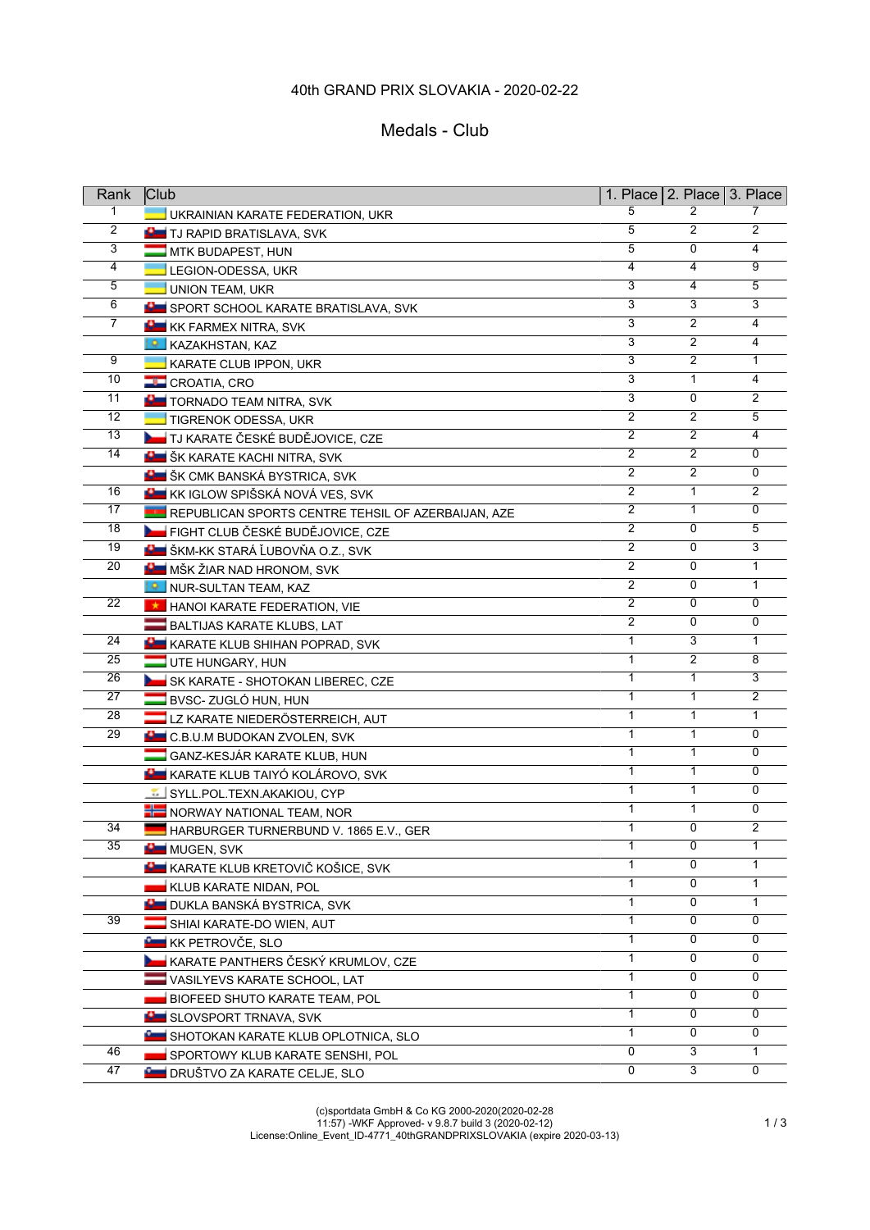# 40th GRAND PRIX SLOVAKIA - 2020-02-22

### Medals - Club

| Rank            | <b>Club</b>                                        |                           |                | 1. Place $2.$ Place $3.$ Place |
|-----------------|----------------------------------------------------|---------------------------|----------------|--------------------------------|
| 1               | UKRAINIAN KARATE FEDERATION, UKR                   | 5                         | 2              |                                |
| $\overline{2}$  | <b>B</b> TJ RAPID BRATISLAVA, SVK                  | 5                         | $\overline{2}$ | 2                              |
| 3               | MTK BUDAPEST, HUN                                  | 5                         | 0              | 4                              |
| 4               | LEGION-ODESSA, UKR                                 | 4                         | 4              | 9                              |
| 5               | <b>UNION TEAM, UKR</b>                             | 3                         | 4              | 5                              |
| $6\overline{}$  | SPORT SCHOOL KARATE BRATISLAVA, SVK                | $\overline{3}$            | 3              | $\overline{3}$                 |
| $\overline{7}$  | <b>KK FARMEX NITRA, SVK</b>                        | $\overline{3}$            | $\overline{2}$ | $\overline{4}$                 |
|                 | <b>A</b> KAZAKHSTAN, KAZ                           | $\overline{3}$            | $\overline{2}$ | 4                              |
| 9               | KARATE CLUB IPPON, UKR                             | $\overline{3}$            | $\overline{2}$ | $\mathbf{1}$                   |
| 10              | <b>CROATIA, CRO</b>                                | $\overline{\overline{3}}$ | $\mathbf{1}$   | 4                              |
| 11              | <b>B</b> TORNADO TEAM NITRA, SVK                   | 3                         | 0              | $\overline{2}$                 |
| 12              | <b>TIGRENOK ODESSA, UKR</b>                        | $\overline{2}$            | $\overline{2}$ | 5                              |
| 13              | <b>Lest</b> TJ KARATE ČESKÉ BUDĚJOVICE, CZE        | $\overline{2}$            | $\overline{2}$ | 4                              |
| 14              | <b>BU</b> ŠK KARATE KACHI NITRA, SVK               | $\overline{2}$            | $\overline{2}$ | 0                              |
|                 | <b>KLE</b> ŠK CMK BANSKÁ BYSTRICA, SVK             | $\overline{2}$            | $\overline{2}$ | 0                              |
| 16              | KK IGLOW SPIŠSKÁ NOVÁ VES, SVK                     | 2                         | $\mathbf{1}$   | 2                              |
| 17              | REPUBLICAN SPORTS CENTRE TEHSIL OF AZERBAIJAN, AZE | $\overline{2}$            | $\mathbf{1}$   | 0                              |
| 18              | FIGHT CLUB ČESKÉ BUDĚJOVICE, CZE                   | $\overline{2}$            | 0              | 5                              |
| 19              | K ŠKM-KK STARÁ ĽUBOVŇA O.Z., SVK                   | $\overline{2}$            | 0              | 3                              |
| 20              | <b>NE MŠK ŽIAR NAD HRONOM, SVK</b>                 | $\overline{2}$            | 0              | 1                              |
|                 | NUR-SULTAN TEAM, KAZ                               | $\overline{2}$            | 0              | 1                              |
| 22              | HANOI KARATE FEDERATION, VIE                       | 2                         | 0              | 0                              |
|                 | BALTIJAS KARATE KLUBS, LAT                         | 2                         | 0              | 0                              |
| 24              | KARATE KLUB SHIHAN POPRAD, SVK                     | 1                         | 3              | $\mathbf{1}$                   |
| 25              | UTE HUNGARY, HUN                                   | 1                         | $\overline{2}$ | 8                              |
| 26              | SK KARATE - SHOTOKAN LIBEREC, CZE                  | $\mathbf{1}$              | $\mathbf{1}$   | $\overline{3}$                 |
| 27              | BVSC-ZUGLÓ HUN, HUN                                | $\mathbf{1}$              | $\mathbf{1}$   | $\overline{2}$                 |
| 28              | LZ KARATE NIEDERÖSTERREICH, AUT                    | $\mathbf{1}$              | $\mathbf{1}$   | 1                              |
| $\overline{29}$ | <b>C.B.U.M BUDOKAN ZVOLEN, SVK</b>                 | 1                         | $\mathbf{1}$   | 0                              |
|                 | GANZ-KESJÁR KARATE KLUB, HUN                       | $\mathbf{1}$              | $\mathbf{1}$   | 0                              |
|                 | KARATE KLUB TAIYÓ KOLÁROVO, SVK                    | 1                         | 1              | $\Omega$                       |
|                 | SYLL.POL.TEXN.AKAKIOU, CYP                         | $\mathbf{1}$              | 1              | 0                              |
|                 | <b>THE NORWAY NATIONAL TEAM, NOR</b>               | 1                         | $\mathbf{1}$   | 0                              |
| $\overline{34}$ | HARBURGER TURNERBUND V. 1865 E.V., GER             | $\mathbf{1}$              | $\mathbf 0$    | $\overline{2}$                 |
| 35              | MUGEN, SVK                                         | 1                         | 0              | 1                              |
|                 | KARATE KLUB KRETOVIČ KOŠICE, SVK                   | $\mathbf{1}$              | $\Omega$       | 1                              |
|                 | KLUB KARATE NIDAN, POL                             | 1                         | 0              | 1                              |
|                 | <b>BL</b> DUKLA BANSKÁ BYSTRICA, SVK               | 1                         | 0              | 1                              |
| 39              | SHIAI KARATE-DO WIEN, AUT                          | 1                         | 0              | 0                              |
|                 | KK PETROVČE, SLO                                   | 1                         | 0              | 0                              |
|                 | KARATE PANTHERS ČESKÝ KRUMLOV, CZE                 | 1                         | 0              | 0                              |
|                 | VASILYEVS KARATE SCHOOL, LAT                       | $\mathbf{1}$              | 0              | 0                              |
|                 | BIOFEED SHUTO KARATE TEAM, POL                     | 1                         | 0              | 0                              |
|                 | SLOVSPORT TRNAVA, SVK                              | $\mathbf{1}$              | 0              | 0                              |
|                 | SHOTOKAN KARATE KLUB OPLOTNICA, SLO                | $\mathbf{1}$              | 0              | 0                              |
| 46              | SPORTOWY KLUB KARATE SENSHI, POL                   | 0                         | 3              | 1                              |
| 47              | <b>E DRUŠTVO ZA KARATE CELJE, SLO</b>              | 0                         | 3              | 0                              |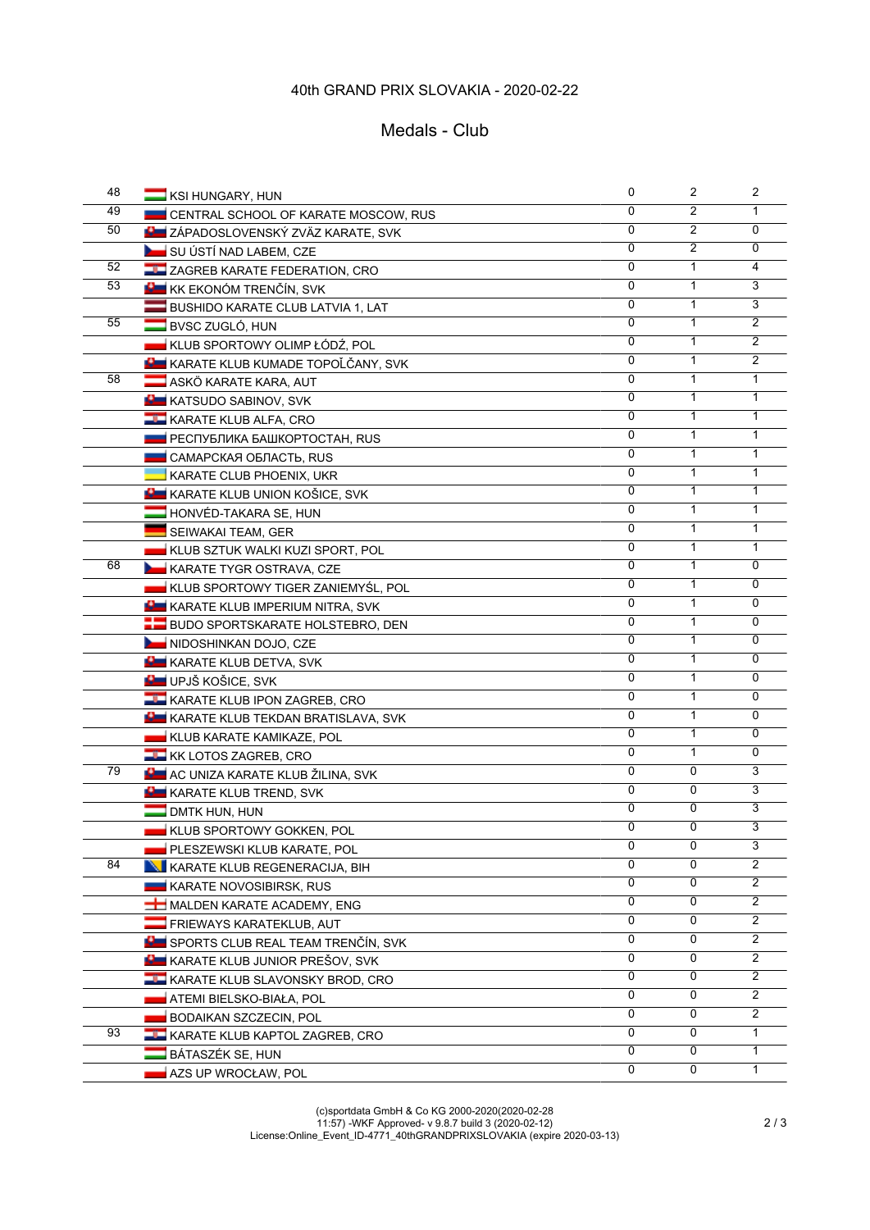## 40th GRAND PRIX SLOVAKIA - 2020-02-22

#### Medals - Club

| 48 | KSI HUNGARY, HUN                            | 0                         | $\mathbf{2}$   | $\overline{2}$ |
|----|---------------------------------------------|---------------------------|----------------|----------------|
| 49 | CENTRAL SCHOOL OF KARATE MOSCOW, RUS        | 0                         | 2              | 1              |
| 50 | <b>KLI</b> ZÁPADOSLOVENSKÝ ZVÄZ KARATE, SVK | 0                         | $\overline{2}$ | 0              |
|    | SU ÚSTÍ NAD LABEM, CZE                      | $\Omega$                  | $\overline{2}$ | 0              |
| 52 | <b>TH</b> ZAGREB KARATE FEDERATION, CRO     | $\Omega$                  | 1              | 4              |
| 53 | <b>HE</b> KK EKONÓM TRENČÍN, SVK            | 0                         | 1              | 3              |
|    | BUSHIDO KARATE CLUB LATVIA 1, LAT           | 0                         | 1              | $\overline{3}$ |
| 55 | BVSC ZUGLÓ, HUN                             | $\overline{0}$            | $\mathbf{1}$   | $\overline{2}$ |
|    | KLUB SPORTOWY OLIMP ŁÓDŹ, POL               | 0                         | 1              | 2              |
|    | <b>KARATE KLUB KUMADE TOPOĽČANY, SVK</b>    | $\overline{0}$            | 1              | $\overline{2}$ |
| 58 | ASKÖ KARATE KARA, AUT                       | $\overline{0}$            | $\mathbf{1}$   | $\mathbf{1}$   |
|    | <b>KE KATSUDO SABINOV, SVK</b>              | 0                         | 1              | $\mathbf{1}$   |
|    | <b>LE KARATE KLUB ALFA, CRO</b>             | 0                         | 1              | 1              |
|    | ■ РЕСПУБЛИКА БАШКОРТОСТАН, RUS              | 0                         | 1              | 1              |
|    | <b>CAMAPCKAЯ ОБЛАСТЬ, RUS</b>               | 0                         | 1              | 1              |
|    | KARATE CLUB PHOENIX, UKR                    | 0                         | 1              | 1              |
|    | KARATE KLUB UNION KOŠICE, SVK               | 0                         | 1              | 1              |
|    | HONVÉD-TAKARA SE. HUN                       | 0                         | 1              | 1              |
|    | <b>SEIWAKAI TEAM, GER</b>                   | 0                         | 1              | 1              |
|    | KLUB SZTUK WALKI KUZI SPORT, POL            | 0                         | 1              | $\mathbf{1}$   |
| 68 | <b>KARATE TYGR OSTRAVA, CZE</b>             | 0                         | 1              | 0              |
|    | KLUB SPORTOWY TIGER ZANIEMYŚL, POL          | 0                         | 1              | 0              |
|    | KARATE KLUB IMPERIUM NITRA, SVK             | $\overline{0}$            | $\mathbf{1}$   | 0              |
|    | <b>BUDO SPORTSKARATE HOLSTEBRO, DEN</b>     | 0                         | 1              | 0              |
|    | NIDOSHINKAN DOJO, CZE                       | 0                         | $\mathbf{1}$   | 0              |
|    | <b>B</b> KARATE KLUB DETVA, SVK             | 0                         | $\mathbf{1}$   | 0              |
|    | UPJŠ KOŠICE, SVK                            | $\overline{\mathfrak{o}}$ | $\mathbf{1}$   | 0              |
|    | <b>LE KARATE KLUB IPON ZAGREB, CRO</b>      | 0                         | 1              | $\Omega$       |
|    | <b>N</b> KARATE KLUB TEKDAN BRATISLAVA, SVK | 0                         | 1              | 0              |
|    | KLUB KARATE KAMIKAZE, POL                   | 0                         | 1              | $\Omega$       |
|    | <b>KK LOTOS ZAGREB, CRO</b>                 | 0                         | 1              | 0              |
| 79 | <b>RU</b> AC UNIZA KARATE KLUB ŽILINA, SVK  | $\overline{0}$            | $\overline{0}$ | 3              |
|    | KARATE KLUB TREND, SVK                      | 0                         | 0              | 3              |
|    | $\Box$ DMTK HUN, HUN                        | 0                         | 0              | 3              |
|    | <b>KLUB SPORTOWY GOKKEN, POL</b>            | 0                         | 0              | $\overline{3}$ |
|    | PLESZEWSKI KLUB KARATE, POL                 | 0                         | 0              | 3              |
| 84 | KARATE KLUB REGENERACIJA, BIH               | 0                         | 0              | $\overline{2}$ |
|    | KARATE NOVOSIBIRSK, RUS                     | $\overline{0}$            | 0              | 2              |
|    | MALDEN KARATE ACADEMY, ENG                  | 0                         | 0              | $\overline{2}$ |
|    | <b>FRIEWAYS KARATEKLUB, AUT</b>             | 0                         | 0              | 2              |
|    | SPORTS CLUB REAL TEAM TRENČÍN, SVK          | 0                         | 0              | $\overline{2}$ |
|    | KARATE KLUB JUNIOR PREŠOV, SVK              | $\mathbf 0$               | 0              | $\overline{2}$ |
|    | <b>LL KARATE KLUB SLAVONSKY BROD, CRO</b>   | 0                         | 0              | $\overline{2}$ |
|    | ATEMI BIELSKO-BIAŁA, POL                    | 0                         | 0              | $\overline{2}$ |
|    | BODAIKAN SZCZECIN, POL                      | $\overline{0}$            | 0              | $\overline{2}$ |
| 93 | <b>LE KARATE KLUB KAPTOL ZAGREB, CRO</b>    | $\overline{0}$            | 0              | 1              |
|    | BÁTASZÉK SE, HUN                            | $\overline{0}$            | 0              | 1              |
|    | AZS UP WROCŁAW, POL                         | $\overline{0}$            | 0              | 1              |